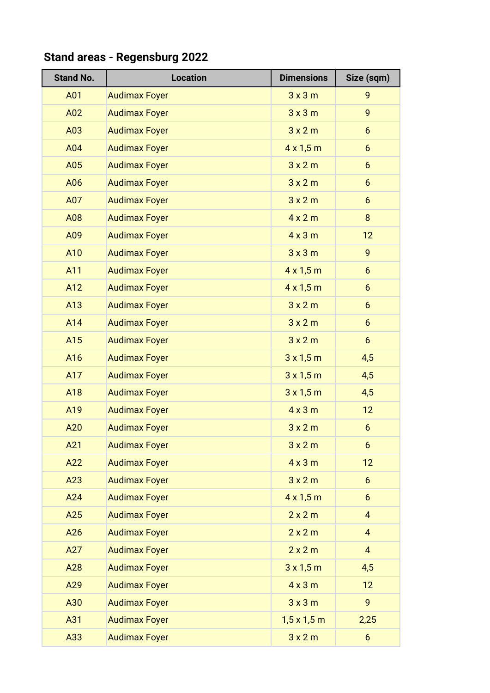## **Stand No.**  $\vert$  **Location Dimensions**  $\vert$  **Size (sqm)** A01 Audimax Foyer 3 x 3 m 9 A02 Audimax Foyer 2008 3x3m 9 A03 Audimax Foyer 3x2m 6 A04 Audimax Foyer 4 x 1,5 m 6 A05 Audimax Foyer 2008 3x2m 6 A06 Audimax Foyer 2008 3x2m 6 A07 Audimax Foyer 3x2m 6 A08 Audimax Foyer 4 x 2 m 8 A09 Audimax Foyer 12 And Audimax Foyer And Audimax Foyer All Audio 19 and Audio 19 and Audio 19 and Audio 19 and Audio 19 and Audio 19 and Audio 19 and Audio 19 and Audio 19 and Audio 19 and Audio 19 and Audio 19 and Audio 19 and Audio 19 and A11 Audimax Foyer 4 x 1,5 m 6 And Audimax Foyer And Audimax Foyer Audio 1975 March 2015 March 2016 And Audimax Foyer And Audimax Foyer All Audio 1980 and Audio 1980 and Audio 1980 and Audio 1980 and Audio 1980 Analysis and Audimax Foyer 1980 and 1980 and 1980 and 1980 and 1980 and 1980 and 1980 and 1980 and 1980 and 19 And Audimax Foyer And Audimax Foyer All Audio 1980 and Audio 1980 and Audio 1980 and Audio 1980 and Audio 1980 A16 Audimax Foyer 3x 1,5 m 4,5 And Audimax Foyer And Account 1 and Account 1 and Account 1 and Account 1 and Account 1 and Account 1 and Account 1 and Account 1 and Account 1 and Account 1 and Account 1 and Account 1 and Account 1 and Account 1 and Acco And Audimax Foyer All Audimax Foyer All Audio 19 and Alberta 2015 Manual Alberta 4,5 And Audimax Foyer And Audimax Foyer All Assessment Assessment Assessment Assessment Assessment Assessment Assessment Assessment Assessment Assessment Assessment Assessment Assessment Assessment Assessment Assessment Assess A20 Audimax Foyer 3x2m 6 A21 Audimax Foyer and a series and a series of the series of the series of the series of the series of the series of the series of the series of the series of the series of the series of the series of the series of the ser A22 Audimax Foyer 12 A23 Audimax Foyer 2008 3x2m 6 A24 Audimax Foyer 4 x 1,5 m 6 A25 Audimax Foyer 2 x 2 m 4 A26 Audimax Foyer 2 x 2 m 4 A27 Audimax Foyer 2 x 2 m 4 A28 Audimax Foyer 3x 1,5 m 4,5 A29 Audimax Foyer 12 A30 Audimax Foyer 3 x 3 m 9 A31 Audimax Foyer 1,5 x 1,5 m 2,25 A33 Audimax Foyer 3x2m 6

## **Stand areas - Regensburg 2022**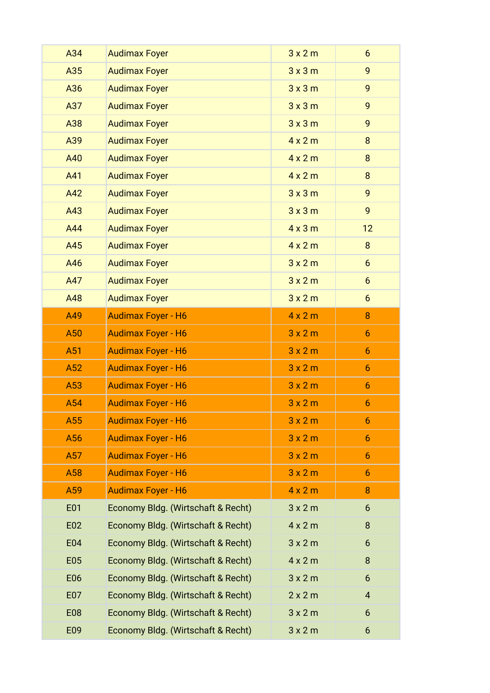| A34        | <b>Audimax Foyer</b>               | 3x2m           | $6\overline{6}$  |
|------------|------------------------------------|----------------|------------------|
| A35        | <b>Audimax Foyer</b>               | 3x3m           | 9                |
| A36        | <b>Audimax Foyer</b>               | 3x3m           | 9                |
| A37        | <b>Audimax Foyer</b>               | 3x3m           | 9                |
| A38        | <b>Audimax Foyer</b>               | 3x3m           | 9                |
| A39        | <b>Audimax Foyer</b>               | $4 \times 2$ m | 8                |
| A40        | <b>Audimax Foyer</b>               | $4 \times 2 m$ | 8                |
| A41        | <b>Audimax Foyer</b>               | $4 \times 2$ m | 8                |
| A42        | <b>Audimax Foyer</b>               | 3x3m           | 9                |
| A43        | <b>Audimax Foyer</b>               | 3x3m           | 9                |
| A44        | <b>Audimax Foyer</b>               | $4 \times 3$ m | 12               |
| A45        | <b>Audimax Foyer</b>               | $4 \times 2 m$ | 8                |
| A46        | <b>Audimax Foyer</b>               | 3x2m           | $6\overline{6}$  |
| A47        | <b>Audimax Foyer</b>               | 3x2m           | $6 \overline{6}$ |
| A48        | <b>Audimax Foyer</b>               | 3x2m           | $6\overline{6}$  |
| A49        | <b>Audimax Foyer - H6</b>          | 4x2m           | 8                |
| A50        | <b>Audimax Foyer - H6</b>          | 3x2m           | $6\overline{6}$  |
| A51        | <b>Audimax Foyer - H6</b>          | 3x2m           | $6\phantom{.}6$  |
| A52        | <b>Audimax Foyer - H6</b>          | 3x2m           | $6\phantom{1}$   |
| A53        | <b>Audimax Foyer - H6</b>          | 3x2m           | $6\phantom{1}$   |
| A54        | <b>Audimax Foyer - H6</b>          | 3x2m           | $\boldsymbol{6}$ |
| A55        | <b>Audimax Foyer - H6</b>          | 3x2m           | 6                |
| A56        | <b>Audimax Foyer - H6</b>          | 3x2m           | 6                |
| A57        | <b>Audimax Foyer - H6</b>          | 3x2m           | $6\overline{6}$  |
| A58        | <b>Audimax Foyer - H6</b>          | 3x2m           | $\boldsymbol{6}$ |
| A59        | <b>Audimax Foyer - H6</b>          | 4x2m           | $\boldsymbol{8}$ |
| E01        | Economy Bldg. (Wirtschaft & Recht) | 3x2m           | $6\phantom{.}6$  |
| E02        | Economy Bldg. (Wirtschaft & Recht) | 4x2m           | 8                |
| E04        | Economy Bldg. (Wirtschaft & Recht) | 3x2m           | 6                |
| <b>E05</b> | Economy Bldg. (Wirtschaft & Recht) | 4x2m           | 8                |
| E06        | Economy Bldg. (Wirtschaft & Recht) | 3x2m           | 6                |
| E07        | Economy Bldg. (Wirtschaft & Recht) | 2x2m           | $\overline{4}$   |
| <b>E08</b> | Economy Bldg. (Wirtschaft & Recht) | 3x2m           | 6                |
| E09        | Economy Bldg. (Wirtschaft & Recht) | 3x2m           | 6                |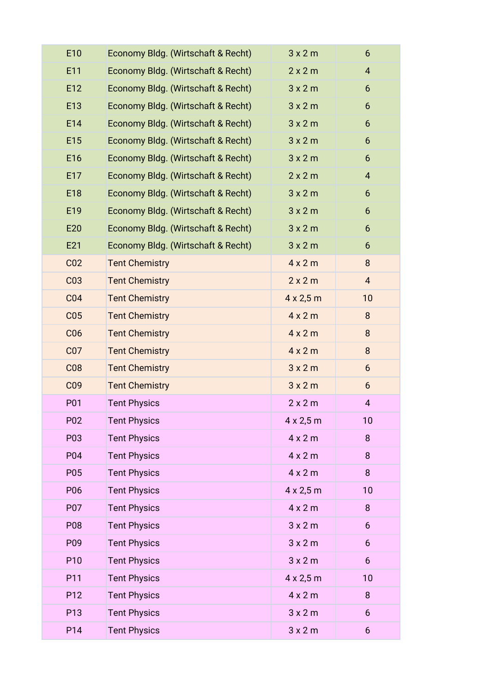| E10             | Economy Bldg. (Wirtschaft & Recht) | 3x2m                | 6              |
|-----------------|------------------------------------|---------------------|----------------|
| E11             | Economy Bldg. (Wirtschaft & Recht) | 2x2m                | 4              |
| E12             | Economy Bldg. (Wirtschaft & Recht) | 3x2m                | 6              |
| E13             | Economy Bldg. (Wirtschaft & Recht) | 3x2m                | 6              |
| E14             | Economy Bldg. (Wirtschaft & Recht) | 3x2m                | 6              |
| E15             | Economy Bldg. (Wirtschaft & Recht) | 3x2m                | 6              |
| E16             | Economy Bldg. (Wirtschaft & Recht) | 3x2m                | 6              |
| E17             | Economy Bldg. (Wirtschaft & Recht) | 2x2m                | $\overline{4}$ |
| E18             | Economy Bldg. (Wirtschaft & Recht) | 3x2m                | 6              |
| E19             | Economy Bldg. (Wirtschaft & Recht) | 3x2m                | 6              |
| E20             | Economy Bldg. (Wirtschaft & Recht) | 3x2m                | 6              |
| E21             | Economy Bldg. (Wirtschaft & Recht) | 3x2m                | 6              |
| CO <sub>2</sub> | <b>Tent Chemistry</b>              | 4x2m                | 8              |
| C <sub>03</sub> | <b>Tent Chemistry</b>              | 2x2m                | $\overline{4}$ |
| CO <sub>4</sub> | <b>Tent Chemistry</b>              | $4 \times 2,5$ m    | 10             |
| CO <sub>5</sub> | <b>Tent Chemistry</b>              | $4 \times 2 m$      | 8              |
| C <sub>06</sub> | <b>Tent Chemistry</b>              | 4x2m                | 8              |
| CO <sub>7</sub> | <b>Tent Chemistry</b>              | 4x2m                | 8              |
| <b>C08</b>      | <b>Tent Chemistry</b>              | 3x2m                | 6              |
| C <sub>09</sub> | <b>Tent Chemistry</b>              | 3x2m                | 6              |
| P01             | <b>Tent Physics</b>                | 2x2m                | $\overline{4}$ |
| P02             | <b>Tent Physics</b>                | $4 \times 2,5$ m    | 10             |
| P03             | <b>Tent Physics</b>                | 4x2m                | 8              |
| P04             | <b>Tent Physics</b>                | 4x2m                | 8              |
| P05             | <b>Tent Physics</b>                | 4x2m                | 8              |
| P06             | <b>Tent Physics</b>                | $4 \times 2,5$ m    | 10             |
| P07             | <b>Tent Physics</b>                | 4x2m                | 8              |
| P08             | <b>Tent Physics</b>                | 3x2m                | 6              |
| P09             | <b>Tent Physics</b>                | 3x2m                | 6              |
| P10             | <b>Tent Physics</b>                | 3x2m                | 6              |
| P11             | <b>Tent Physics</b>                | $4 \times 2,5 \, m$ | 10             |
| P12             | <b>Tent Physics</b>                | $4 \times 2 m$      | 8              |
| P13             | <b>Tent Physics</b>                | 3x2m                | 6              |
| P14             | <b>Tent Physics</b>                | 3x2m                | 6              |